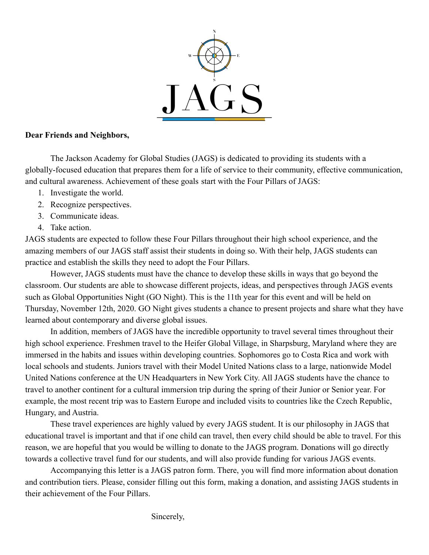

## **Dear Friends and Neighbors,**

The Jackson Academy for Global Studies (JAGS) is dedicated to providing its students with a globally-focused education that prepares them for a life of service to their community, effective communication, and cultural awareness. Achievement of these goals start with the Four Pillars of JAGS:

- 1. Investigate the world.
- 2. Recognize perspectives.
- 3. Communicate ideas.
- 4. Take action.

JAGS students are expected to follow these Four Pillars throughout their high school experience, and the amazing members of our JAGS staff assist their students in doing so. With their help, JAGS students can practice and establish the skills they need to adopt the Four Pillars.

However, JAGS students must have the chance to develop these skills in ways that go beyond the classroom. Our students are able to showcase different projects, ideas, and perspectives through JAGS events such as Global Opportunities Night (GO Night). This is the 11th year for this event and will be held on Thursday, November 12th, 2020. GO Night gives students a chance to present projects and share what they have learned about contemporary and diverse global issues.

In addition, members of JAGS have the incredible opportunity to travel several times throughout their high school experience. Freshmen travel to the Heifer Global Village, in Sharpsburg, Maryland where they are immersed in the habits and issues within developing countries. Sophomores go to Costa Rica and work with local schools and students. Juniors travel with their Model United Nations class to a large, nationwide Model United Nations conference at the UN Headquarters in New York City. All JAGS students have the chance to travel to another continent for a cultural immersion trip during the spring of their Junior or Senior year. For example, the most recent trip was to Eastern Europe and included visits to countries like the Czech Republic, Hungary, and Austria.

These travel experiences are highly valued by every JAGS student. It is our philosophy in JAGS that educational travel is important and that if one child can travel, then every child should be able to travel. For this reason, we are hopeful that you would be willing to donate to the JAGS program. Donations will go directly towards a collective travel fund for our students, and will also provide funding for various JAGS events.

Accompanying this letter is a JAGS patron form. There, you will find more information about donation and contribution tiers. Please, consider filling out this form, making a donation, and assisting JAGS students in their achievement of the Four Pillars.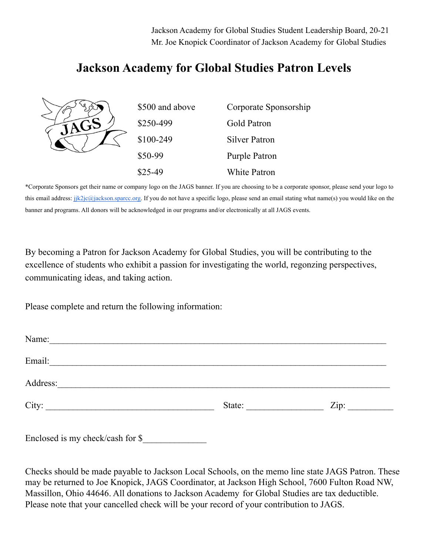Jackson Academy for Global Studies Student Leadership Board, 20-21 Mr. Joe Knopick Coordinator of Jackson Academy for Global Studies

## **Jackson Academy for Global Studies Patron Levels**

|  | \$500 and above | Corporate Sponsorship |
|--|-----------------|-----------------------|
|  | \$250-499       | Gold Patron           |
|  | \$100-249       | <b>Silver Patron</b>  |
|  | \$50-99         | Purple Patron         |
|  | $$25-49$        | <b>White Patron</b>   |

\*Corporate Sponsors get their name or company logo on the JAGS banner. If you are choosing to be a corporate sponsor, please send your logo to this email address: [jjk2jc@jackson.sparcc.org.](mailto:jjk2jc@jackson.sparcc.org) If you do not have a specific logo, please send an email stating what name(s) you would like on the banner and programs. All donors will be acknowledged in our programs and/or electronically at all JAGS events.

By becoming a Patron for Jackson Academy for Global Studies, you will be contributing to the excellence of students who exhibit a passion for investigating the world, regonzing perspectives, communicating ideas, and taking action.

Please complete and return the following information:

| Name:<br><u> 1989 - Andrea Andrews, amerikansk politik (d. 1989)</u>                                                             |        |      |
|----------------------------------------------------------------------------------------------------------------------------------|--------|------|
| Email:                                                                                                                           |        |      |
| Address:<br><u> 1980 - Johann Barn, mars ann an t-Amhain Aonaich an t-Aonaich an t-Aonaich ann an t-Aonaich ann an t-Aonaich</u> |        |      |
| City:                                                                                                                            | State: | Zip: |
|                                                                                                                                  |        |      |

Enclosed is my check/cash for \$\_\_\_\_\_\_\_\_\_\_\_\_\_\_

Checks should be made payable to Jackson Local Schools, on the memo line state JAGS Patron. These may be returned to Joe Knopick, JAGS Coordinator, at Jackson High School, 7600 Fulton Road NW, Massillon, Ohio 44646. All donations to Jackson Academy for Global Studies are tax deductible. Please note that your cancelled check will be your record of your contribution to JAGS.